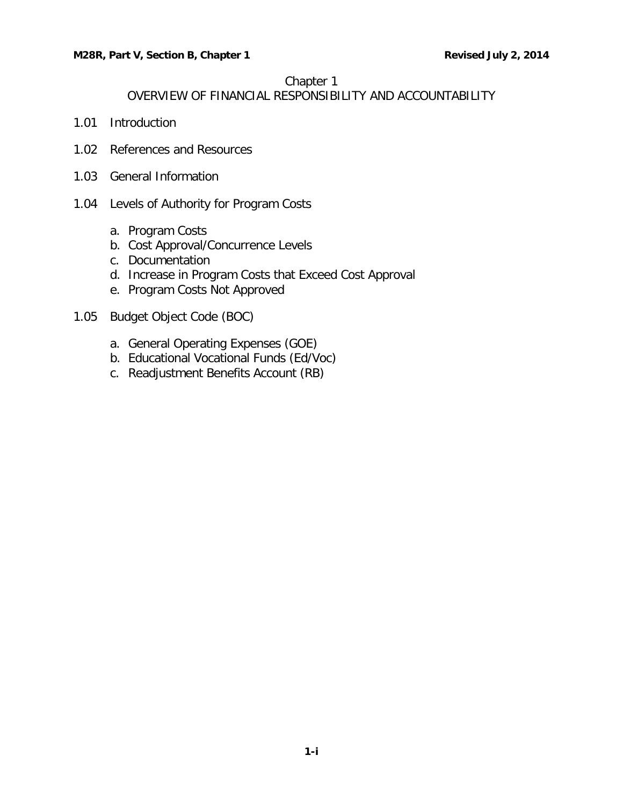### Chapter 1

## OVERVIEW OF FINANCIAL RESPONSIBILITY AND ACCOUNTABILITY

- 1.01 [Introduction](#page-1-0)
- [1.02 References and Resources](#page-1-1)
- 1.03 [General Information](#page-1-2)
- 1.04 [Levels of Authority for Program Costs](#page-2-0)
	- a. [Program Costs](#page-2-1)
	- b. [Cost Approval/Concurrence Levels](#page-2-2)
	- c. [Documentation](#page-3-0)
	- d. [Increase in Program Costs that Exceed Cost Approval](#page-3-1)
	- [e. Program Costs Not Approved](#page-4-0)
- 1.05 [Budget Object Code \(BOC\)](#page-4-1)
	- [a. General Operating Expenses \(GOE\)](#page-4-2)
	- [b. Educational Vocational Funds \(Ed/Voc\)](#page-4-3)
	- c. [Readjustment Benefits Account \(RB\)](#page-5-0)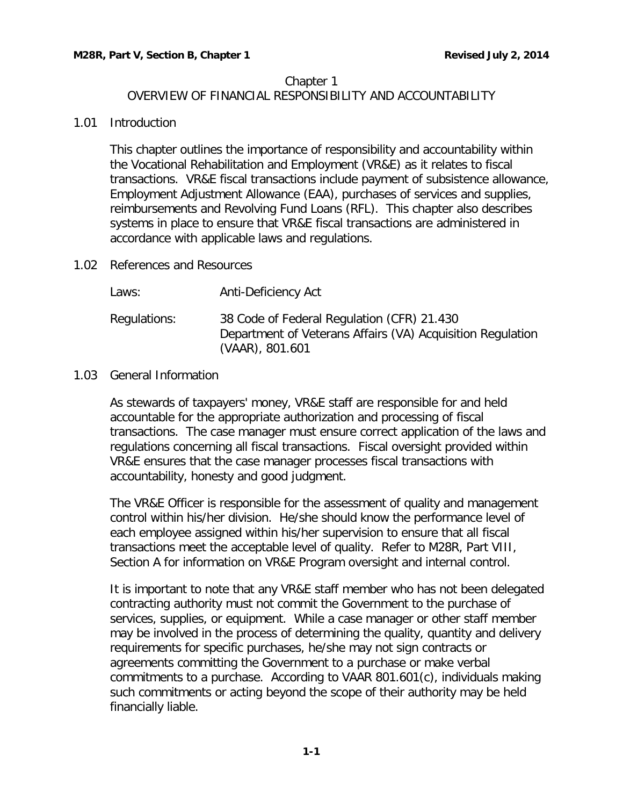## Chapter 1

# OVERVIEW OF FINANCIAL RESPONSIBILITY AND ACCOUNTABILITY

### <span id="page-1-0"></span>1.01 Introduction

This chapter outlines the importance of responsibility and accountability within the Vocational Rehabilitation and Employment (VR&E) as it relates to fiscal transactions. VR&E fiscal transactions include payment of subsistence allowance, Employment Adjustment Allowance (EAA), purchases of services and supplies, reimbursements and Revolving Fund Loans (RFL). This chapter also describes systems in place to ensure that VR&E fiscal transactions are administered in accordance with applicable laws and regulations.

<span id="page-1-1"></span>1.02 References and Resources

| Laws:        | Anti-Deficiency Act                                                                                                         |
|--------------|-----------------------------------------------------------------------------------------------------------------------------|
| Regulations: | 38 Code of Federal Regulation (CFR) 21.430<br>Department of Veterans Affairs (VA) Acquisition Regulation<br>(VAAR), 801.601 |

<span id="page-1-2"></span>1.03 General Information

As stewards of taxpayers' money, VR&E staff are responsible for and held accountable for the appropriate authorization and processing of fiscal transactions. The case manager must ensure correct application of the laws and regulations concerning all fiscal transactions. Fiscal oversight provided within VR&E ensures that the case manager processes fiscal transactions with accountability, honesty and good judgment.

The VR&E Officer is responsible for the assessment of quality and management control within his/her division. He/she should know the performance level of each employee assigned within his/her supervision to ensure that all fiscal transactions meet the acceptable level of quality. Refer to M28R, Part VIII, Section A for information on VR&E Program oversight and internal control.

It is important to note that any VR&E staff member who has not been delegated contracting authority must not commit the Government to the purchase of services, supplies, or equipment. While a case manager or other staff member may be involved in the process of determining the quality, quantity and delivery requirements for specific purchases, he/she may not sign contracts or agreements committing the Government to a purchase or make verbal commitments to a purchase. According to VAAR 801.601(c), individuals making such commitments or acting beyond the scope of their authority may be held financially liable.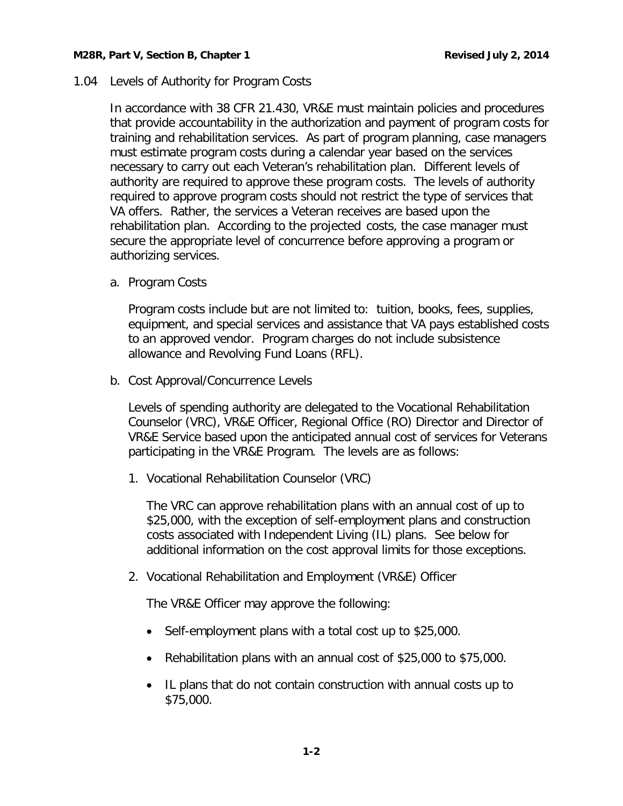<span id="page-2-0"></span>1.04 Levels of Authority for Program Costs

In accordance with 38 CFR 21.430, VR&E must maintain policies and procedures that provide accountability in the authorization and payment of program costs for training and rehabilitation services. As part of program planning, case managers must estimate program costs during a calendar year based on the services necessary to carry out each Veteran's rehabilitation plan. Different levels of authority are required to approve these program costs. The levels of authority required to approve program costs should not restrict the type of services that VA offers. Rather, the services a Veteran receives are based upon the rehabilitation plan. According to the projected costs, the case manager must secure the appropriate level of concurrence before approving a program or authorizing services.

<span id="page-2-1"></span>a. Program Costs

Program costs include but are not limited to: tuition, books, fees, supplies, equipment, and special services and assistance that VA pays established costs to an approved vendor. Program charges do not include subsistence allowance and Revolving Fund Loans (RFL).

<span id="page-2-2"></span>b. Cost Approval/Concurrence Levels

Levels of spending authority are delegated to the Vocational Rehabilitation Counselor (VRC), VR&E Officer, Regional Office (RO) Director and Director of VR&E Service based upon the anticipated annual cost of services for Veterans participating in the VR&E Program. The levels are as follows:

1. Vocational Rehabilitation Counselor (VRC)

The VRC can approve rehabilitation plans with an annual cost of up to \$25,000, with the exception of self-employment plans and construction costs associated with Independent Living (IL) plans. See below for additional information on the cost approval limits for those exceptions.

2. Vocational Rehabilitation and Employment (VR&E) Officer

The VR&E Officer may approve the following:

- Self-employment plans with a total cost up to \$25,000.
- Rehabilitation plans with an annual cost of \$25,000 to \$75,000.
- IL plans that do not contain construction with annual costs up to \$75,000.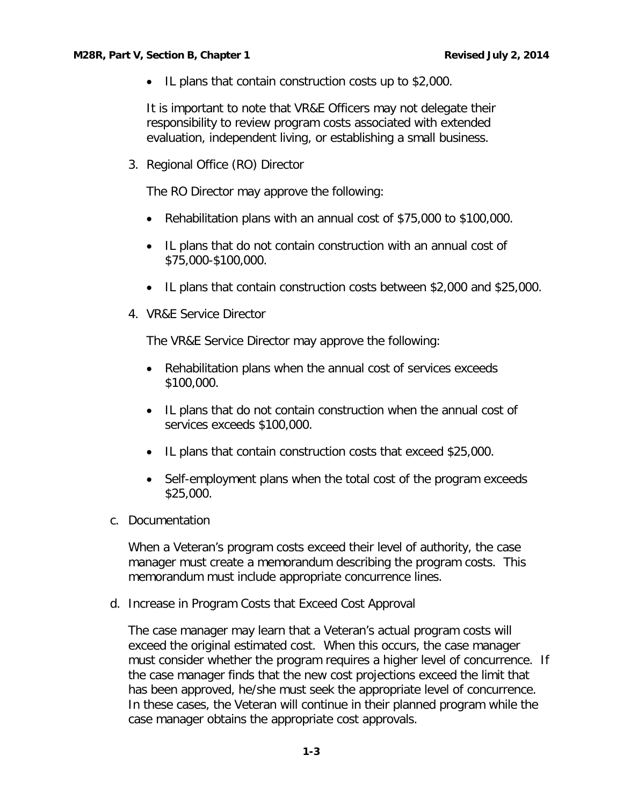• IL plans that contain construction costs up to \$2,000.

It is important to note that VR&E Officers may not delegate their responsibility to review program costs associated with extended evaluation, independent living, or establishing a small business.

3. Regional Office (RO) Director

The RO Director may approve the following:

- Rehabilitation plans with an annual cost of \$75,000 to \$100,000.
- IL plans that do not contain construction with an annual cost of \$75,000-\$100,000.
- IL plans that contain construction costs between \$2,000 and \$25,000.
- 4. VR&E Service Director

The VR&E Service Director may approve the following:

- Rehabilitation plans when the annual cost of services exceeds \$100,000.
- IL plans that do not contain construction when the annual cost of services exceeds \$100,000.
- IL plans that contain construction costs that exceed \$25,000.
- Self-employment plans when the total cost of the program exceeds \$25,000.
- <span id="page-3-0"></span>c. Documentation

When a Veteran's program costs exceed their level of authority, the case manager must create a memorandum describing the program costs. This memorandum must include appropriate concurrence lines.

<span id="page-3-1"></span>d. Increase in Program Costs that Exceed Cost Approval

The case manager may learn that a Veteran's actual program costs will exceed the original estimated cost. When this occurs, the case manager must consider whether the program requires a higher level of concurrence. If the case manager finds that the new cost projections exceed the limit that has been approved, he/she must seek the appropriate level of concurrence. In these cases, the Veteran will continue in their planned program while the case manager obtains the appropriate cost approvals.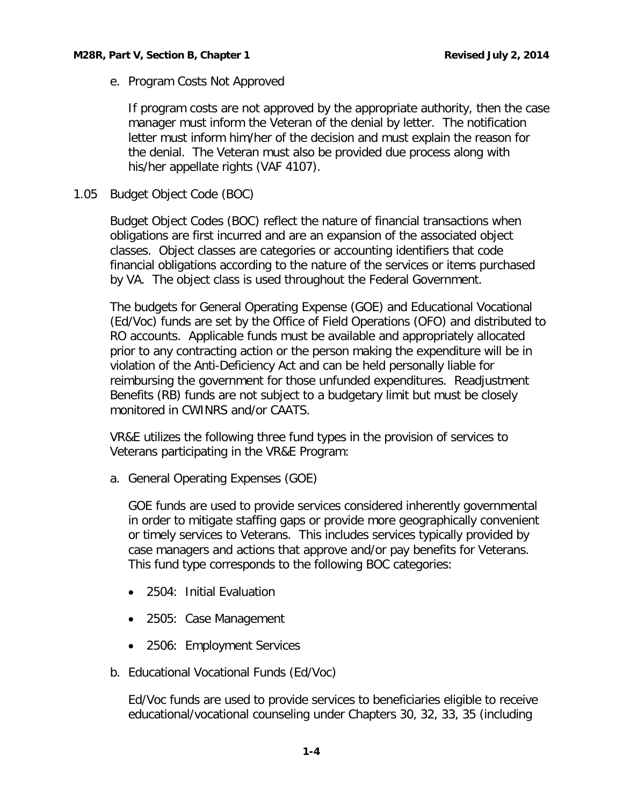<span id="page-4-0"></span>e. Program Costs Not Approved

If program costs are not approved by the appropriate authority, then the case manager must inform the Veteran of the denial by letter. The notification letter must inform him/her of the decision and must explain the reason for the denial. The Veteran must also be provided due process along with his/her appellate rights (VAF 4107).

<span id="page-4-1"></span>1.05 Budget Object Code (BOC)

Budget Object Codes (BOC) reflect the nature of financial transactions when obligations are first incurred and are an expansion of the associated object classes. Object classes are categories or accounting identifiers that code financial obligations according to the nature of the services or items purchased by VA. The object class is used throughout the Federal Government.

The budgets for General Operating Expense (GOE) and Educational Vocational (Ed/Voc) funds are set by the Office of Field Operations (OFO) and distributed to RO accounts. Applicable funds must be available and appropriately allocated prior to any contracting action or the person making the expenditure will be in violation of the Anti-Deficiency Act and can be held personally liable for reimbursing the government for those unfunded expenditures. Readjustment Benefits (RB) funds are not subject to a budgetary limit but must be closely monitored in CWINRS and/or CAATS.

VR&E utilizes the following three fund types in the provision of services to Veterans participating in the VR&E Program:

<span id="page-4-2"></span>a. General Operating Expenses (GOE)

GOE funds are used to provide services considered inherently governmental in order to mitigate staffing gaps or provide more geographically convenient or timely services to Veterans. This includes services typically provided by case managers and actions that approve and/or pay benefits for Veterans. This fund type corresponds to the following BOC categories:

- 2504: Initial Evaluation
- 2505: Case Management
- 2506: Employment Services
- <span id="page-4-3"></span>b. Educational Vocational Funds (Ed/Voc)

Ed/Voc funds are used to provide services to beneficiaries eligible to receive educational/vocational counseling under Chapters 30, 32, 33, 35 (including